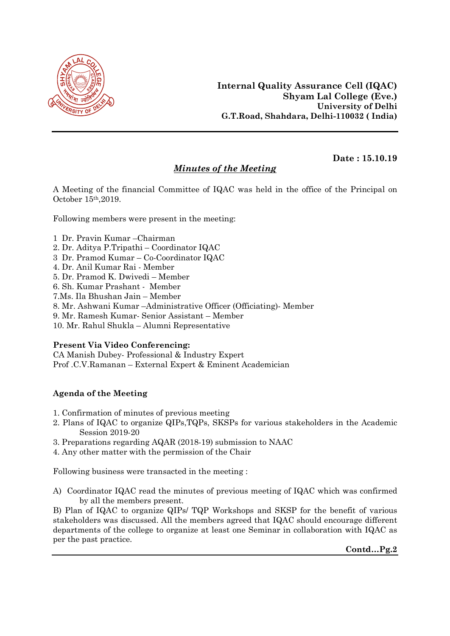

## Minutes of the Meeting

Date : 15.10.19

A Meeting of the financial Committee of IQAC was held in the office of the Principal on October 15th,2019.

Following members were present in the meeting:

- 1 Dr. Pravin Kumar –Chairman
- 2. Dr. Aditya P.Tripathi Coordinator IQAC
- 3 Dr. Pramod Kumar Co-Coordinator IQAC
- 4. Dr. Anil Kumar Rai Member
- 5. Dr. Pramod K. Dwivedi Member
- 6. Sh. Kumar Prashant Member
- 7.Ms. Ila Bhushan Jain Member
- 8. Mr. Ashwani Kumar –Administrative Officer (Officiating)- Member
- 9. Mr. Ramesh Kumar- Senior Assistant Member
- 10. Mr. Rahul Shukla Alumni Representative

## Present Via Video Conferencing:

CA Manish Dubey- Professional & Industry Expert Prof .C.V.Ramanan – External Expert & Eminent Academician

## Agenda of the Meeting

- 1. Confirmation of minutes of previous meeting
- 2. Plans of IQAC to organize QIPs,TQPs, SKSPs for various stakeholders in the Academic Session 2019-20
- 3. Preparations regarding AQAR (2018-19) submission to NAAC
- 4. Any other matter with the permission of the Chair

Following business were transacted in the meeting :

A) Coordinator IQAC read the minutes of previous meeting of IQAC which was confirmed by all the members present.

B) Plan of IQAC to organize QIPs/ TQP Workshops and SKSP for the benefit of various stakeholders was discussed. All the members agreed that IQAC should encourage different departments of the college to organize at least one Seminar in collaboration with IQAC as per the past practice.

Contd…Pg.2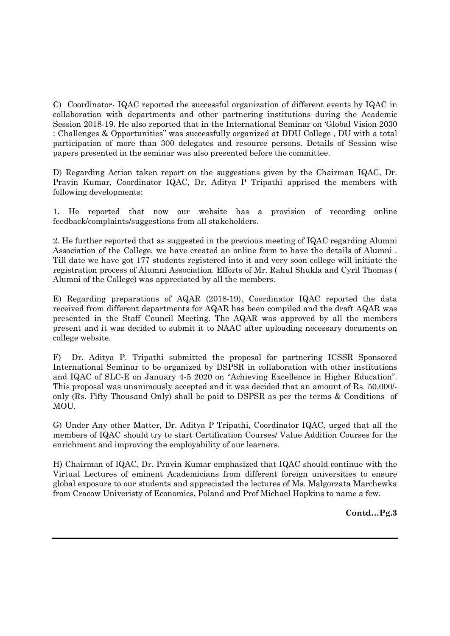C) Coordinator- IQAC reported the successful organization of different events by IQAC in collaboration with departments and other partnering institutions during the Academic Session 2018-19. He also reported that in the International Seminar on 'Global Vision 2030 : Challenges & Opportunities" was successfully organized at DDU College , DU with a total participation of more than 300 delegates and resource persons. Details of Session wise papers presented in the seminar was also presented before the committee.

D) Regarding Action taken report on the suggestions given by the Chairman IQAC, Dr. Pravin Kumar, Coordinator IQAC, Dr. Aditya P Tripathi apprised the members with following developments:

1. He reported that now our website has a provision of recording online feedback/complaints/suggestions from all stakeholders.

2. He further reported that as suggested in the previous meeting of IQAC regarding Alumni Association of the College, we have created an online form to have the details of Alumni . Till date we have got 177 students registered into it and very soon college will initiate the registration process of Alumni Association. Efforts of Mr. Rahul Shukla and Cyril Thomas ( Alumni of the College) was appreciated by all the members.

E) Regarding preparations of AQAR (2018-19), Coordinator IQAC reported the data received from different departments for AQAR has been compiled and the draft AQAR was presented in the Staff Council Meeting. The AQAR was approved by all the members present and it was decided to submit it to NAAC after uploading necessary documents on college website.

F) Dr. Aditya P. Tripathi submitted the proposal for partnering ICSSR Sponsored International Seminar to be organized by DSPSR in collaboration with other institutions and IQAC of SLC-E on January 4-5 2020 on "Achieving Excellence in Higher Education". This proposal was unanimously accepted and it was decided that an amount of Rs. 50,000/ only (Rs. Fifty Thousand Only) shall be paid to DSPSR as per the terms & Conditions of MOU.

G) Under Any other Matter, Dr. Aditya P Tripathi, Coordinator IQAC, urged that all the members of IQAC should try to start Certification Courses/ Value Addition Courses for the enrichment and improving the employability of our learners.

H) Chairman of IQAC, Dr. Pravin Kumar emphasized that IQAC should continue with the Virtual Lectures of eminent Academicians from different foreign universities to ensure global exposure to our students and appreciated the lectures of Ms. Malgorzata Marchewka from Cracow Univeristy of Economics, Poland and Prof Michael Hopkins to name a few.

Contd…Pg.3